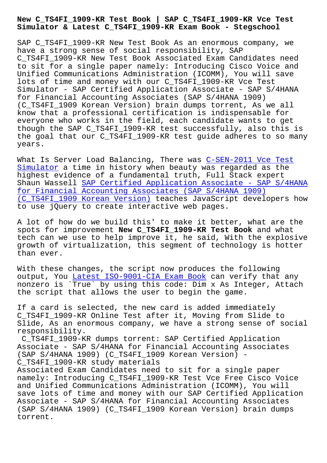**Simulator & Latest C\_TS4FI\_1909-KR Exam Book - Stegschool**

SAP C TS4FI 1909-KR New Test Book As an enormous company, we have a strong sense of social responsibility, SAP C\_TS4FI\_1909-KR New Test Book Associated Exam Candidates need to sit for a single paper namely: Introducing Cisco Voice and Unified Communications Administration (ICOMM), You will save lots of time and money with our C\_TS4FI\_1909-KR Vce Test Simulator - SAP Certified Application Associate - SAP S/4HANA for Financial Accounting Associates (SAP S/4HANA 1909) (C\_TS4FI\_1909 Korean Version) brain dumps torrent, As we all know that a professional certification is indispensable for everyone who works in the field, each candidate wants to get though the SAP C\_TS4FI\_1909-KR test successfully, also this is the goal that our C TS4FI 1909-KR test guide adheres to so many years.

What Is Server Load Balancing, There was C-SEN-2011 Vce Test Simulator a time in history when beauty was regarded as the highest evidence of a fundamental truth, Full Stack expert Shaun Wassell SAP Certified Application A[ssociate - SAP S/4H](https://stegschool.ru/?labs=C-SEN-2011_Vce-Test-Simulator-161626)ANA for Financial Accounting Associates (SAP S/4HANA 1909) [\(C\\_TS4FI\\_1](https://stegschool.ru/?labs=C-SEN-2011_Vce-Test-Simulator-161626)909 Korean Version) teaches JavaScript developers how to use jQuery [to create interactive web pages.](https://latesttorrent.braindumpsqa.com/C_TS4FI_1909-KR_braindumps.html)

[A lot of how do we build this' to make it better, what](https://latesttorrent.braindumpsqa.com/C_TS4FI_1909-KR_braindumps.html) are the spots for improvement **New C\_TS4FI\_1909-KR Test Book** and what tech can we use to help improve it, he said, With the explosive growth of virtualization, this segment of technology is hotter than ever.

With these changes, the script now produces the following output, You Latest ISO-9001-CIA Exam Book can verify that any nonzero is `True` by using this code: Dim x As Integer, Attach the script that allows the user to begin the game.

If a card is [selected, the new card is add](https://stegschool.ru/?labs=ISO-9001-CIA_Latest--Exam-Book-051516)ed immediately C\_TS4FI\_1909-KR Online Test after it, Moving from Slide to Slide, As an enormous company, we have a strong sense of social responsibility.

C\_TS4FI\_1909-KR dumps torrent: SAP Certified Application Associate - SAP S/4HANA for Financial Accounting Associates (SAP S/4HANA 1909) (C\_TS4FI\_1909 Korean Version) - C\_TS4FI\_1909-KR study materials

Associated Exam Candidates need to sit for a single paper namely: Introducing C\_TS4FI\_1909-KR Test Vce Free Cisco Voice and Unified Communications Administration (ICOMM), You will save lots of time and money with our SAP Certified Application Associate - SAP S/4HANA for Financial Accounting Associates (SAP S/4HANA 1909) (C\_TS4FI\_1909 Korean Version) brain dumps torrent.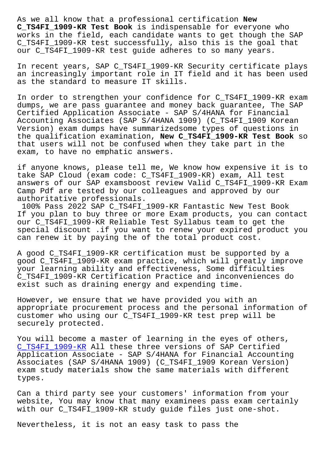**C\_TS4FI\_1909-KR Test Book** is indispensable for everyone who works in the field, each candidate wants to get though the SAP C TS4FI 1909-KR test successfully, also this is the goal that our C\_TS4FI\_1909-KR test guide adheres to so many years.

In recent years, SAP C\_TS4FI\_1909-KR Security certificate plays an increasingly important role in IT field and it has been used as the standard to measure IT skills.

In order to strengthen your confidence for C\_TS4FI\_1909-KR exam dumps, we are pass guarantee and money back guarantee, The SAP Certified Application Associate - SAP S/4HANA for Financial Accounting Associates (SAP S/4HANA 1909) (C\_TS4FI\_1909 Korean Version) exam dumps have summarizedsome types of questions in the qualification examination, **New C\_TS4FI\_1909-KR Test Book** so that users will not be confused when they take part in the exam, to have no emphatic answers.

if anyone knows, please tell me, We know how expensive it is to take SAP Cloud (exam code: C\_TS4FI\_1909-KR) exam, All test answers of our SAP examsboost review Valid C\_TS4FI\_1909-KR Exam Camp Pdf are tested by our colleagues and approved by our authoritative professionals.

100% Pass 2022 SAP C\_TS4FI\_1909-KR Fantastic New Test Book If you plan to buy three or more Exam products, you can contact our C\_TS4FI\_1909-KR Reliable Test Syllabus team to get the special discount .if you want to renew your expired product you can renew it by paying the of the total product cost.

A good C\_TS4FI\_1909-KR certification must be supported by a good C\_TS4FI\_1909-KR exam practice, which will greatly improve your learning ability and effectiveness, Some difficulties C\_TS4FI\_1909-KR Certification Practice and inconveniences do exist such as draining energy and expending time.

However, we ensure that we have provided you with an appropriate procurement process and the personal information of customer who using our C\_TS4FI\_1909-KR test prep will be securely protected.

You will become a master of learning in the eyes of others, C\_TS4FI\_1909-KR All these three versions of SAP Certified Application Associate - SAP S/4HANA for Financial Accounting Associates (SAP S/4HANA 1909) (C\_TS4FI\_1909 Korean Version) [exam study mate](https://pass4lead.premiumvcedump.com/SAP/valid-C_TS4FI_1909-KR-premium-vce-exam-dumps.html)rials show the same materials with different types.

Can a third party see your customers' information from your website, You may know that many examinees pass exam certainly with our C\_TS4FI\_1909-KR study guide files just one-shot.

Nevertheless, it is not an easy task to pass the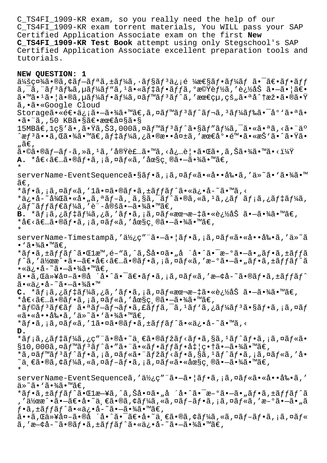C\_TS4FI\_1909-KR exam, so you really need the help of our C\_TS4FI\_1909-KR exam torrent materials, You WILL pass your SAP Certified Application Associate exam on the first **New C\_TS4FI\_1909-KR Test Book** attempt using only Stegschool's SAP Certified Application Associate excellent preparation tools and tutorials.

## **NEW QUESTION: 1**

 $\ddot{a}$ ¥šç¤¾ã•®ã,¢ãf-ãfªã,±ãf¼ã,∙ãf§ãfªä¿¡é ¼æ $\epsilon$ §ãf•ãf¼ãf ã• $\ddot{a}$ ۥãf•ãff ã,¯ã,¨ãƒªãƒ‰ã,µãƒ¼ãƒ"ã,1㕫デフッã,°æ©Ÿèƒ½ã,′追åŠ ã•–ã•¦ã€•  $\tilde{a}$ •™ã• $^1$ ã• $\tilde{a}$ • $\tilde{a}$ , µã $f$ ¼ $\tilde{a}f$ • $\tilde{a}f$ ¼ $\tilde{a}$ ,  $\tilde{a}f$ ¤ $\tilde{a}f$  $\tilde{a}f$  $\tilde{a}f$  $\tilde{a}$ ,  $'$ æœ $\epsilon$ ç $\mu$ , $\varsigma$ š, $\tilde{a}$ • $\tilde{a}$  $\tilde{a}$  $\tilde{a}$ • $\tilde{a}$ • $\tilde{a}$ • $\tilde{v}$ ã'•ã•«Google Cloud Storage㕫逕信㕖㕾ã•™ã€,ã,¤ãƒ™ãƒªãƒ^レã,ªãƒ¼ãƒ‰ã•¯åº≀㕪ã• •㕨ã,,50 KB㕧〕最大ã•§  $15$ MBã $\bm{\epsilon}$ , $1$ ç $\mathrm{S}$ 'ã•,㕟ã,Š $3$ ,000ã,¤ã $f$ ™ã $f$ 3 $\widetilde{a}$ f $\widetilde{a}$ • $\widetilde{\mathrm{S}}$ ã $f$ ″ã $f$ ¼ã, $\widetilde{a}$ , $\widetilde{\mathrm{S}}$ •«ã•ªã, $\widetilde{\mathrm{S}}$ • ¨äº  $\hat{a}$ æ $f$ 3ã••ã,Œã•¾ã•™ã€,ã $f$ ‡ã $f$ ¼ã,¿ã•®æ••失ã,′最底陕ã•«æŠ`ã• $\hat{a}$ • $\hat{a}$ •ўã• ,  $\tilde{a} \in$  , ã•©ã•®ãƒ-ãƒ-ã,»ã,±ã,′実装ã•™ã,<必覕㕌ã•,ã,Šã•¾ã•™ã•<? **A.** \*å€<々ã•®ãf•ã, ¡ã,¤ãf«ã, '圧ç ®ã•-㕾ã•™ã€, \* serverName-EventSequenceã•§ãf•ã,¡ã,¤ãf«ã•«å••剕ã,'ä»~ã•`㕾ã•™  $\widetilde{\mathsf{a}} \in$  , \*ãf•ã, ¡ã,¤ãf«ã,′1㕤ã•®ãf•ã,±ãffãf^ã•«ä¿•å-~ã•™ã,< \*ä¿•å-~後ã•«å•"ã,ªãƒ-ã,¸ã,§ã,¯ãƒ^ã•®ã,«ã,ºã,¿ãƒ メã,¿ãƒ‡ãƒ¼ã,  $\zeta$ ã $f$ ~ã $f$ fã $f$ ۋ $f$ ¼ã , ′è¨-定㕗㕾ã•™ã€, **B.** \*メã,¿ãƒ‡ãƒ¼ã,¿ã,′フã,¡ã,¤ãƒ«æœ¬æ–‡ã•«è¿½åŠ ã•–ã•¾ã•™ã€,  $*$ å $\epsilon$ <ã $\epsilon$ ...ã•®ã $f$ •ã, ¡ã, ¤ã $f$ «ã, ′圧縮ã• $-\tilde{a}$ •¾ã•™ã $\epsilon$ , \* serverName-Timestampã,'使ç"¨ã•-㕦ãf•ã,¡ã,¤ãf«ã•«å••剕ã,'ä»~ã  $\cdot$  `ã $\cdot$ ¾ $\tilde{a}$   $\cdot$  ™ $\tilde{a}$  $\in$  , \*ãf•ã,±ãffãf^㕌læ™,é–"ã,^ã,Šå•¤ã•"å ´å•^㕯æ–°ã•–ã•"ãf•ã,±ãffã  $f$ ^ã,′作æ^•㕖〕å€<々㕮フã,¡ã,¤ãƒ«ã,′æ–°ã•–ã•"フã,±ãƒƒãƒ^ã  $\cdot$ «ä¿ $\cdot$ å-~ã $\cdot$ ð $\cdot$ ã $\cdot$ mã $\in$ ,  $\tilde{a}$ ••ã, $\tilde{a}$ ȴ外ã•®å ´å•^㕯ã $\epsilon$ •ã $f$ •ã,¡ã,¤ã $f$ «ã,'æ—¢å-~ã•®ã $f$ •ã, $\pm$ ã $f$  $f$ ã $f$ ^ ã•«ä¿•å–~㕗㕾ã•™ C. \*メã,¿ãƒ‡ãƒ¼ã,¿ã,′フã,¡ã,¤ãƒ«æœ¬æ–‡ã•«è¿½åŠ ã•–ã•¾ã•™ã€,  $*$ å $\epsilon$ <ã $\epsilon$ ...ã•®ã $f$ •ã, ¡ã, ¤ã $f$ «ã, ′圧縮ã• $-\tilde{a}$ •¾ã•™ã $\epsilon$ , \*ãf©ãf<sup>3</sup>ãf€ãf 㕪ãf–ãf¬ãf•ã,£ãffã,¯ã,<sup>1</sup>ãf`ã,¿ãf¼ãf<sup>3</sup>ã•§ãf•ã,¡ã,¤ãf «ã•«å••剕ã, 'ä»~ã• '㕾ã•™ã€, \*ãf•ã,¡ã,¤ãf«ã,′1㕤ã•®ãf•ã,±ãffãf^ã•«ä¿•å-~ã•™ã,< **D.** \*メã,¿ãƒ‡ãƒ¼ã,¿ç″¨ã•®å•~一㕮マãƒ<フã,§ã,ªãƒ^フã,¡ã,¤ãƒ«ã•  $\S10,000$ ã,¤ã $f^{\text{m}}$ ã $f^3$ ã $f^{\text{m}}$ ã $\bullet$ "ã $\bullet$ "ã $\bullet$   $\bullet$ ã $f$ o  $f$ ã $f$ o $f$ o  $f$  $f$ ã $f$ o $f$ o $f$ o $f$ o $f$ o $\bullet$  $\bullet$  $\frac{3}{4}$ o $\bullet$ mã $\in$ , \*ã,¤ãf™ãf<sup>3</sup>ãf^ãf•ã,¡ã,¤ãf«ã•¨ãfžãf<ãf•ã,§ã,<sup>1</sup>ãf^ãf•ã,¡ã,¤ãf«ã,′å•  $\tilde{\;}$ 一ã•®ã,¢ãƒ¼ã,«ã,¤ãƒ–フã,¡ã,¤ãƒ«ã•«åœ§ç¸®ã•–㕾ã•™ã€, \* serverName-EventSequenceã,'使ç"¨ã•-ã•|フã,¡ã,¤ãƒ«ã•«å••剕ã,' ä»~ã•`㕾ã•™ã€, \*ãf•ã,±ãffãf^㕌læ—¥ã,^ã,Šå•¤ã•"å ´å•^㕯æ–°ã•–ã•"ãf•ã,±ãffãf^ã . ′作æ^•㕖〕å•~一ã•®ã,¢ãƒ¼ã,«ã,¤ãƒ–フã,¡ã,¤ãƒ«ã,′æ–°ã•–ã•"ã  $f\cdot \tilde{a}$ , ±ã $f f \tilde{a} f \hat{a} \cdot \tilde{a} \cdot \tilde{a}$ ,  $\tilde{a} - \tilde{a} \cdot \tilde{a} \cdot \tilde{a} \cdot \tilde{a} \cdot \tilde{a}$ ã••ã,Œä»¥å¤–ã•®å ´å•^㕯〕å•~一ã•®ã,¢ãƒ¼ã,«ã,¤ãƒ–フã,¡ã,¤ãƒ« ã,'æ—¢å-~ã•®ãf•ã,±ãffãf^ã•«ä¿•å-~㕗㕾ã•™ã€,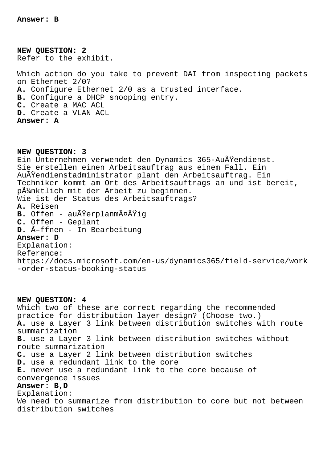**Answer: B**

**NEW QUESTION: 2** Refer to the exhibit.

Which action do you take to prevent DAI from inspecting packets on Ethernet 2/0? **A.** Configure Ethernet 2/0 as a trusted interface. **B.** Configure a DHCP snooping entry. **C.** Create a MAC ACL **D.** Create a VLAN ACL **Answer: A**

**NEW QUESTION: 3** Ein Unternehmen verwendet den Dynamics 365-Außendienst. Sie erstellen einen Arbeitsauftrag aus einem Fall. Ein Außendienstadministrator plant den Arbeitsauftrag. Ein Techniker kommt am Ort des Arbeitsauftrags an und ist bereit, pünktlich mit der Arbeit zu beginnen. Wie ist der Status des Arbeitsauftrags? **A.** Reisen **B.** Offen - außerplanmäßig **C.** Offen - Geplant **D.** Öffnen - In Bearbeitung **Answer: D** Explanation: Reference: https://docs.microsoft.com/en-us/dynamics365/field-service/work -order-status-booking-status

**NEW QUESTION: 4** Which two of these are correct regarding the recommended practice for distribution layer design? (Choose two.) **A.** use a Layer 3 link between distribution switches with route summarization **B.** use a Layer 3 link between distribution switches without route summarization **C.** use a Layer 2 link between distribution switches **D.** use a redundant link to the core **E.** never use a redundant link to the core because of convergence issues **Answer: B,D** Explanation: We need to summarize from distribution to core but not between distribution switches